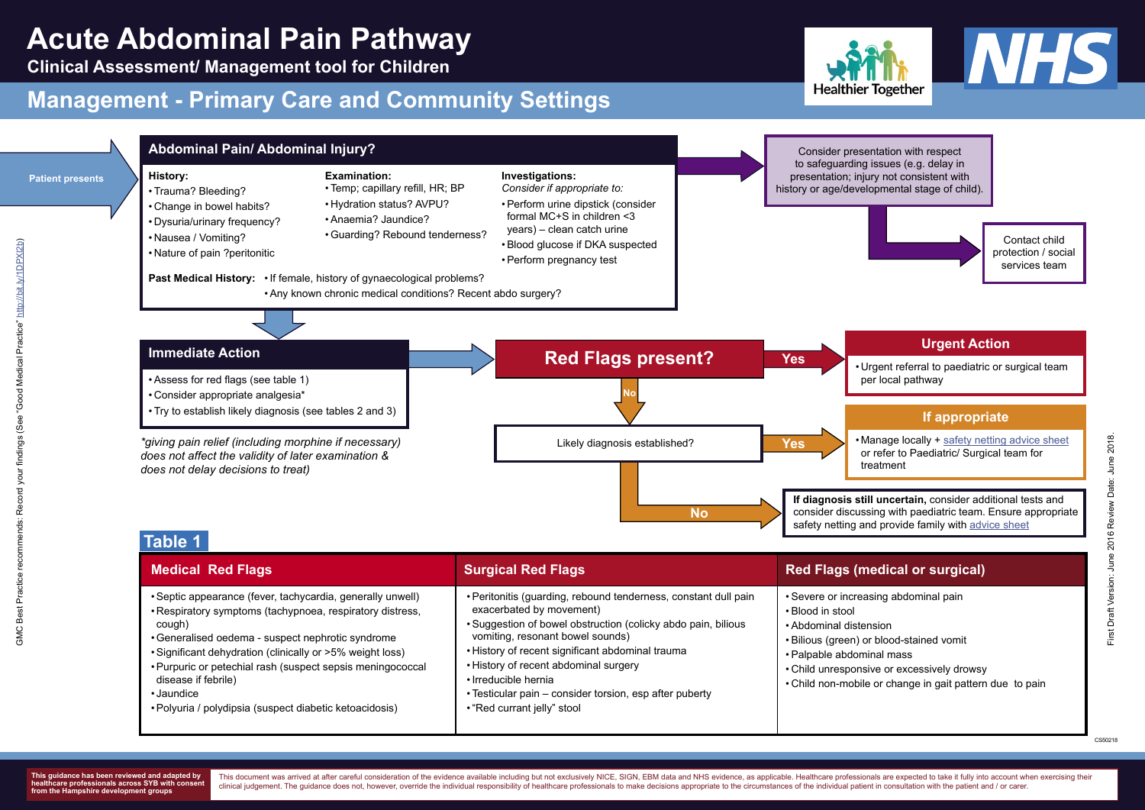### **Urgent Action**

• Urgent referral to paediatric or surgical team

### **If appropriate**

• Manage locally + [safety netting advice sheet](https://sybhealthiertogether.nhs.uk/professionals/gp-primary-care-staff/safety-netting-documents-parents/abdominal-pain) or refer to Paediatric/ Surgical team for

**Clinical Assessment/ Management tool for Children** 

# **Management - Primary Care and Community Settings**

This document was arrived at after careful consideration of the evidence available including but not exclusively NICE, SIGN, EBM data and NHS evidence, as applicable. Healthcare professionals are expected to take it fully clinical judgement. The quidance does not, however, override the individual responsibility of healthcare professionals to make decisions appropriate to the circumstances of the individual patient in consultation with the p





| • Peritonitis (guarding, rebound tenderness, constant dull pain<br>• Septic appearance (fever, tachycardia, generally unwell)<br>exacerbated by movement)<br>• Respiratory symptoms (tachypnoea, respiratory distress,<br>• Suggestion of bowel obstruction (colicky abdo pain, bilious<br>cough)<br>vomiting, resonant bowel sounds)<br>• Generalised oedema - suspect nephrotic syndrome<br>• History of recent significant abdominal trauma<br>• Significant dehydration (clinically or >5% weight loss)<br>• History of recent abdominal surgery<br>• Purpuric or petechial rash (suspect sepsis meningococcal<br>disease if febrile)<br>• Irreducible hernia<br>• Testicular pain – consider torsion, esp after puberty<br>• Jaundice<br>• Polyuria / polydipsia (suspect diabetic ketoacidosis)<br>• "Red currant jelly" stool | • Severe or increas<br>• Blood in stool<br>• Abdominal disten<br>• Bilious (green) or<br>• Palpable abdomir<br>• Child unresponsiv<br>• Child non-mobile |
|--------------------------------------------------------------------------------------------------------------------------------------------------------------------------------------------------------------------------------------------------------------------------------------------------------------------------------------------------------------------------------------------------------------------------------------------------------------------------------------------------------------------------------------------------------------------------------------------------------------------------------------------------------------------------------------------------------------------------------------------------------------------------------------------------------------------------------------|----------------------------------------------------------------------------------------------------------------------------------------------------------|



Contact child protection / social services team

**If diagnosis still uncertain,** consider additional tests and consider discussing with paediatric team. Ensure appropriate

### *<u>Edical or surgical</u>*

sing abdominal pain

- าsion
- blood-stained vomit
- nal mass
- ve or excessively drowsy
- or change in gait pattern due to pain

CS50218